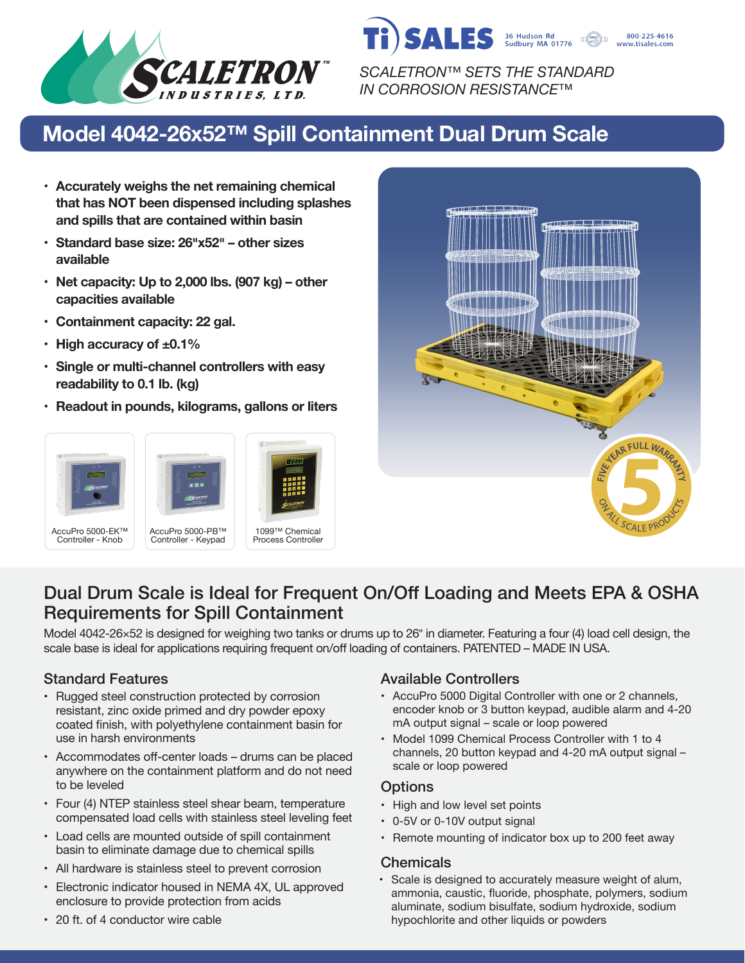

*SCALETRON™ SETS THE STANDARD IN CORROSION RESISTANCE™*

SALES 36 Hudson Rd

800-225-4616 www.tisales.com

# **Model 4042-26x52™ Spill Containment Dual Drum Scale**

- **• Accurately weighs the net remaining chemical that has NOT been dispensed including splashes and spills that are contained within basin**
- **• Standard base size: 26�x52� – other sizes available**
- **• Net capacity: Up to 2,000 lbs. (907 kg) – other capacities available**
- **• Containment capacity: 22 gal.**
- **• High accuracy of ±0.1%**
- **• Single or multi-channel controllers with easy readability to 0.1 lb. (kg)**
- **• Readout in pounds, kilograms, gallons or liters**





# Dual Drum Scale is Ideal for Frequent On/Off Loading and Meets EPA & OSHA Requirements for Spill Containment

Model 4042-26×52 is designed for weighing two tanks or drums up to 26" in diameter. Featuring a four (4) load cell design, the scale base is ideal for applications requiring frequent on/off loading of containers. PATENTED – MADE IN USA.

- Rugged steel construction protected by corrosion resistant, zinc oxide primed and dry powder epoxy coated finish, with polyethylene containment basin for use in harsh environments
- Accommodates off-center loads drums can be placed anywhere on the containment platform and do not need to be leveled
- Four (4) NTEP stainless steel shear beam, temperature compensated load cells with stainless steel leveling feet
- Load cells are mounted outside of spill containment basin to eliminate damage due to chemical spills
- All hardware is stainless steel to prevent corrosion
- Electronic indicator housed in NEMA 4X, UL approved enclosure to provide protection from acids

# Standard Features **Available Controllers** Available Controllers

- AccuPro 5000 Digital Controller with one or 2 channels, encoder knob or 3 button keypad, audible alarm and 4-20 mA output signal – scale or loop powered
- Model 1099 Chemical Process Controller with 1 to 4 channels, 20 button keypad and 4-20 mA output signal – scale or loop powered

# **Options**

- High and low level set points
- 0-5V or 0-10V output signal
- Remote mounting of indicator box up to 200 feet away

#### Chemicals

• Scale is designed to accurately measure weight of alum, ammonia, caustic, fluoride, phosphate, polymers, sodium aluminate, sodium bisulfate, sodium hydroxide, sodium hypochlorite and other liquids or powders

• 20 ft. of 4 conductor wire cable